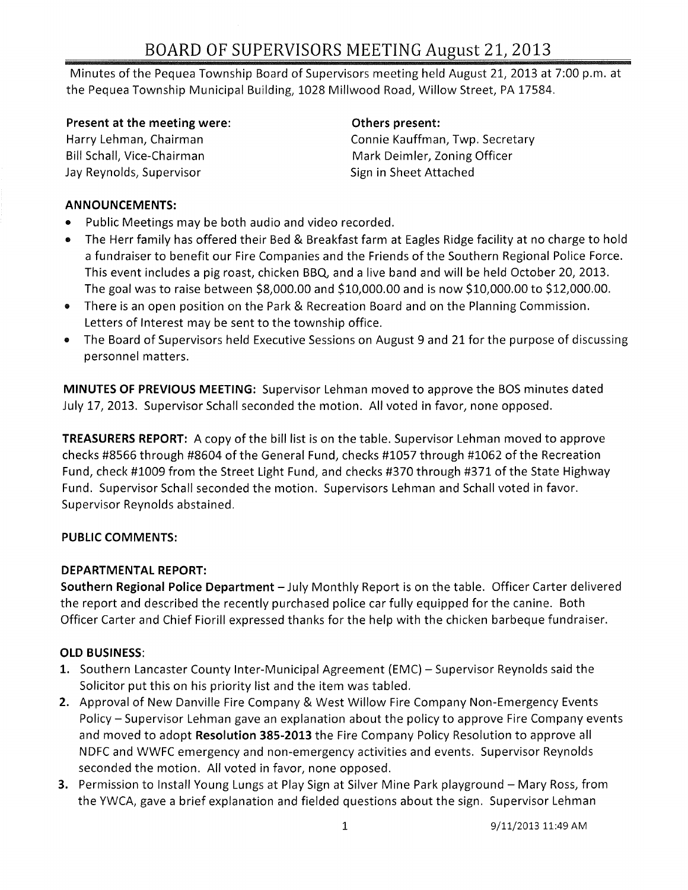# BOARD OF SUPERVISORS MEETING August 21,2013

Minutes of the Pequea Township Board of Supervisors meeting held August 21, 2013 at 7:00 p.m. at the Pequea Township Municipal Building, 1028 Millwood Road, Willow Street, PA 17584.

Present at the meeting were:

Harry Lehman, Chairman Bill Schall, Vice-Chairman Jay Reynolds, Supervisor

#### Others present:

Connie Kauffman, Twp. Secretary Mark Deimler, Zoning Officer Sign in Sheet Attached

#### ANNOUNCEMENTS:

- Public Meetings may be both audio and video recorded.
- The Herr family has offered their Bed & Breakfast farm at Eagles Ridge facility at no charge to hold a fundraiser to benefit our Fire Companies and the Friends of the Southern Regional Police Force. This event includes a pig roast, chicken BBQ, and a live band and will be held October 20, 2013. The goal was to raise between \$8,000.00 and \$10,000.00 and is now \$10,000.00 to \$12,000.00.
- There is an open position on the Park & Recreation Board and on the Planning Commission. Letters of Interest may be sent to the township office.
- The Board of Supervisors held Executive Sessions on August 9 and 21 for the purpose of discussing personnel matters.

MINUTES OF PREVIOUS MEETING: Supervisor Lehman moved to approve the BOS minutes dated July 17,2013. Supervisor Schall seconded the motion. All voted in favor, none opposed.

TREASURERS REPORT: A copy of the bill list is on the table. Supervisor Lehman moved to approve checks #8566 through #8604 of the General Fund, checks #1057 through #1062 of the Recreation Fund, check #1009 from the Street Light Fund, and checks #370 through #371 of the State Highway Fund. Supervisor Schall seconded the motion. Supervisors Lehman and Schall voted in favor. Supervisor Reynolds abstained.

# PUBLIC COMMENTS:

# DEPARTMENTAL REPORT:

Southern Regional Police Department - July Monthly Report is on the table. Officer Carter delivered the report and described the recently purchased police car fully equipped for the canine. Both Officer Carter and Chief Fiorill expressed thanks for the help with the chicken barbeque fundraiser.

# OLD BUSINESS:

- 1. Southern Lancaster County Inter-Municipal Agreement (EMC) Supervisor Reynolds said the Solicitor put this on his priority list and the item was tabled.
- 2. Approval of New Danville Fire Company & West Willow Fire Company Non-Emergency Events Policy - Supervisor Lehman gave an explanation about the policy to approve Fire Company events and moved to adopt Resolution 385-2013 the Fire Company Policy Resolution to approve all NDFC and WWFC emergency and non-emergency activities and events. Supervisor Reynolds seconded the motion. All voted in favor, none opposed.
- **3.** Permission to Install Young Lungs at Play Sign at Silver Mine Park playground Mary Ross, from the YWCA, gave a brief explanation and fielded questions about the sign. Supervisor Lehman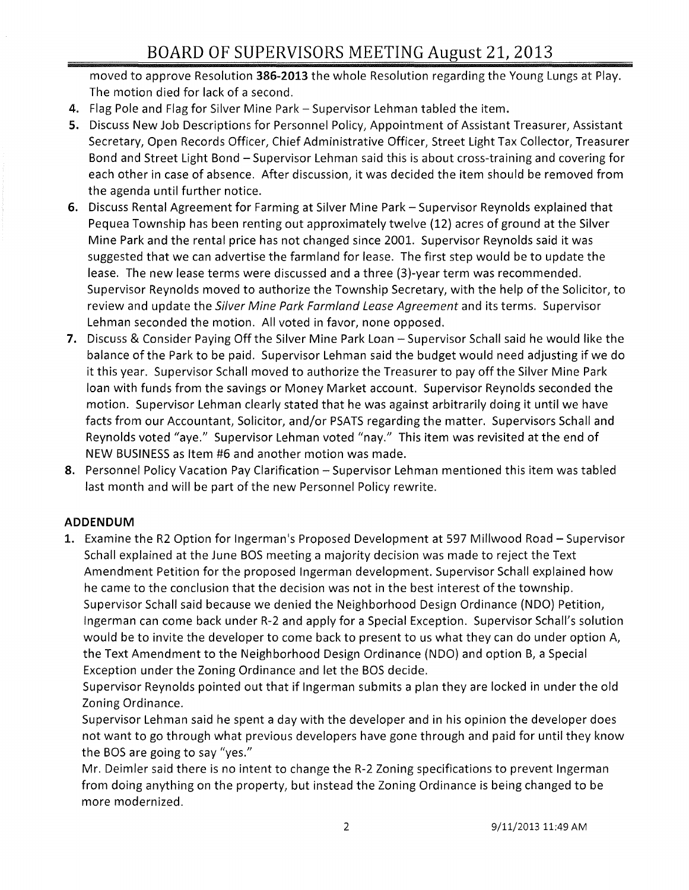moved to approve Resolution 386-2013 the whole Resolution regarding the Young Lungs at Play. The motion died for lack of a second.

- 4. Flag Pole and Flag for Silver Mine Park Supervisor Lehman tabled the item.
- 5. Discuss New Job Descriptions for Personnel Policy, Appointment of Assistant Treasurer, Assistant Secretary, Open Records Officer, Chief Administrative Officer, Street Light Tax Collector, Treasurer Bond and Street Light Bond - Supervisor Lehman said this is about cross-training and covering for each other in case of absence. After discussion, it was decided the item should be removed from the agenda until further notice.
- 6. Discuss Rental Agreement for Farming at Silver Mine Park Supervisor Reynolds explained that Pequea Township has been renting out approximately twelve (12) acres of ground at the Silver Mine Park and the rental price has not changed since 2001. Supervisor Reynolds said it was suggested that we can advertise the farmland for lease. The first step would be to update the lease. The new lease terms were discussed and a three (3)-year term was recommended. Supervisor Reynolds moved to authorize the Township Secretary, with the help of the Solicitor, to review and update the Silver Mine Park Farmland Lease Agreement and its terms. Supervisor Lehman seconded the motion. All voted in favor, none opposed.
- 7. Discuss & Consider Paying Off the Silver Mine Park Loan Supervisor Schall said he would like the balance of the Park to be paid. Supervisor Lehman said the budget would need adjusting if we do it this year. Supervisor Schall moved to authorize the Treasurer to pay off the Silver Mine Park loan with funds from the savings or Money Market account. Supervisor Reynolds seconded the motion. Supervisor Lehman clearly stated that he was against arbitrarily doing it until we have facts from our Accountant, Solicitor, and/or PSATS regarding the matter. Supervisors Schall and Reynolds voted "aye." Supervisor Lehman voted "nay." This item was revisited at the end of NEW BUSINESS as Item #6 and another motion was made.
- 8. Personnel Policy Vacation Pay Clarification Supervisor Lehman mentioned this item was tabled last month and will be part of the new Personnel Policy rewrite.

# ADDENDUM

1. Examine the R2 Option for Ingerman's Proposed Development at 597 Millwood Road - Supervisor Schall explained at the June BOS meeting a majority decision was made to reject the Text Amendment Petition for the proposed Ingerman development. Supervisor Schall explained how he came to the conclusion that the decision was not in the best interest of the township. Supervisor Schall said because we denied the Neighborhood Design Ordinance (NDO) Petition, Ingerman can come back under R-2 and apply for a Special Exception. Supervisor Schall's solution would be to invite the developer to come back to present to us what they can do under option A, the Text Amendment to the Neighborhood Design Ordinance (NDO) and option B, a Special Exception under the Zoning Ordinance and let the BOS decide.

Supervisor Reynolds pointed out that if Ingerman submits a plan they are locked in under the old Zoning Ordinance.

Supervisor Lehman said he spent a day with the developer and in his opinion the developer does not want to go through what previous developers have gone through and paid for until they know the BOS are going to say "yes."

Mr. Deimler said there is no intent to change the R-2 Zoning specifications to prevent Ingerman from doing anything on the property, but instead the Zoning Ordinance is being changed to be more modernized.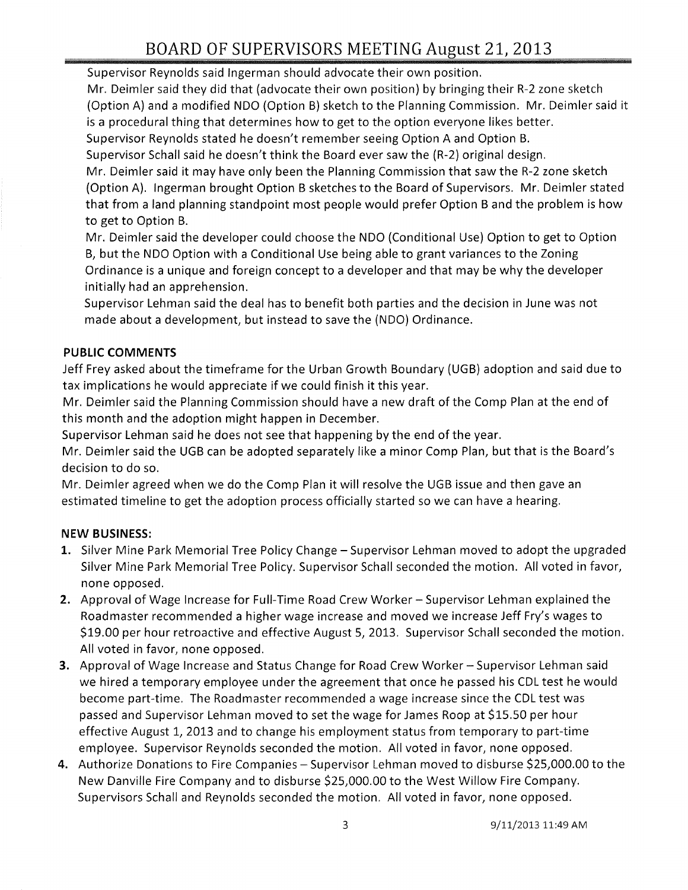Supervisor Reynolds said Ingerman should advocate their own position.

Mr. Deimler said they did that (advocate their own position) by bringing their R-2 zone sketch (Option A) and a modified NDO (Option B) sketch to the Planning Commission. Mr. Deimler said it is a procedural thing that determines how to get to the option everyone likes better.

Supervisor Reynolds stated he doesn't remember seeing Option A and Option B.

Supervisor Schall said he doesn't think the Board ever saw the (R-2) original design.

Mr. Deimler said it may have only been the Planning Commission that saw the R-2 zone sketch (Option A). Ingerman brought Option B sketches to the Board of Supervisors. Mr. Deimler stated that from a land planning standpoint most people would prefer Option B and the problem is how to get to Option B.

Mr. Deimler said the developer could choose the NDO (Conditional Use) Option to get to Option B, but the NDO Option with a Conditional Use being able to grant variances to the Zoning Ordinance is a unique and foreign concept to a developer and that may be why the developer initially had an apprehension.

Supervisor Lehman said the deal has to benefit both parties and the decision in June was not made about a development, but instead to save the (NDO) Ordinance.

# **PUBLIC COMMENTS**

Jeff Frey asked about the timeframe for the Urban Growth Boundary (UGB) adoption and said due to tax implications he would appreciate if we could finish it this year.

Mr. Deimler said the Planning Commission should have a new draft of the Comp Plan at the end of this month and the adoption might happen in December.

Supervisor Lehman said he does not see that happening by the end of the year.

Mr. Deimler said the UGB can be adopted separately like a minor Comp Plan, but that is the Board's decision to do so.

Mr. Deimler agreed when we do the Comp Plan it will resolve the UGB issue and then gave an estimated timeline to get the adoption process officially started so we can have a hearing.

# **NEW BUSINESS:**

- 1. Silver Mine Park Memorial Tree Policy Change Supervisor Lehman moved to adopt the upgraded Silver Mine Park Memorial Tree Policy. Supervisor Schall seconded the motion. All voted in favor, none opposed.
- 2. Approval of Wage Increase for Full-Time Road Crew Worker Supervisor Lehman explained the Roadmaster recommended a higher wage increase and moved we increase Jeff Fry's wages to \$19.00 per hour retroactive and effective August 5, 2013. Supervisor Schall seconded the motion. All voted in favor, none opposed.
- **3.** Approval of Wage Increase and Status Change for Road Crew Worker Supervisor Lehman said we hired a temporary employee under the agreement that once he passed his CDL test he would become part-time. The Roadmaster recommended a wage increase since the CDL test was passed and Supervisor Lehman moved to set the wage for James Roop at \$15.50 per hour effective August 1, 2013 and to change his employment status from temporary to part-time employee. Supervisor Reynolds seconded the motion. All voted in favor, none opposed.
- **4.** Authorize Donations to Fire Companies Supervisor Lehman moved to disburse \$25,000.00 to the New Danville Fire Company and to disburse \$25,000.00 to the West Willow Fire Company. Supervisors Schall and Reynolds seconded the motion. All voted in favor, none opposed.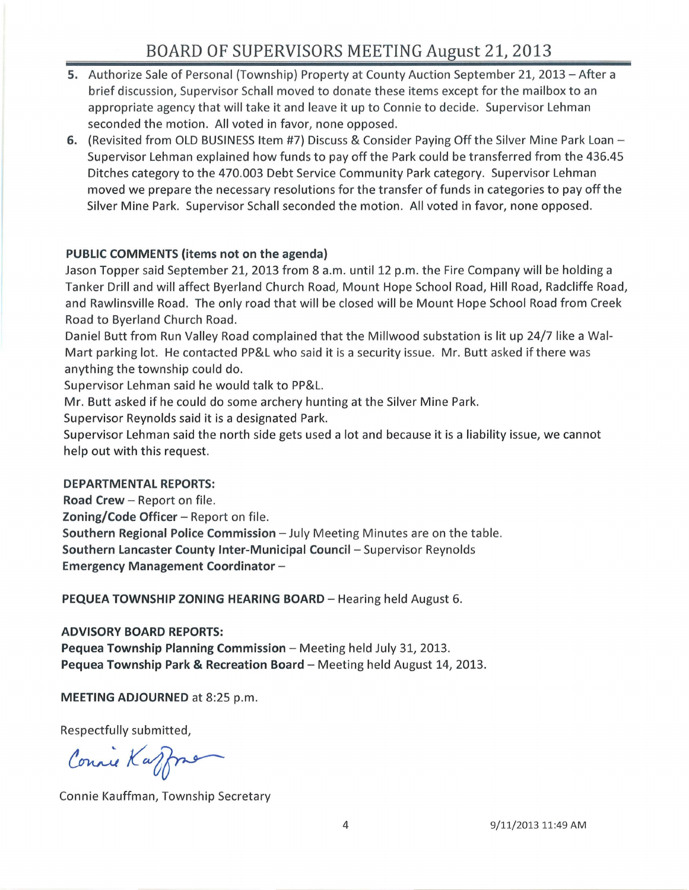- 5. Authorize Sale of Personal (Township) Property at County Auction September 21, 2013 After a brief discussion, Supervisor Schall moved to donate these items except for the mailbox to an appropriate agency that will take it and leave it up to Connie to decide. Supervisor Lehman seconded the motion. All voted in favor, none opposed.
- 6. (Revisited from OLD BUSINESS Item #7) Discuss & Consider Paying Off the Silver Mine Park Loan -Supervisor Lehman explained how funds to payoff the Park could be transferred from the 436.45 Ditches category to the 470.003 Debt Service Community Park category. Supervisor Lehman moved we prepare the necessary resolutions for the transfer of funds in categories to payoff the Silver Mine Park. Supervisor Schall seconded the motion. All voted in favor, none opposed.

#### PUBLIC COMMENTS (items not on the agenda)

Jason Topper said September 21, 2013 from 8 a.m. until 12 p.m. the Fire Company will be holding a Tanker Drill and will affect Byerland Church Road, Mount Hope School Road, Hill Road, Radcliffe Road, and Rawlinsville Road. The only road that will be closed will be Mount Hope School Road from Creek Road to Byerland Church Road.

Daniel Butt from Run Valley Road complained that the Millwood substation is lit up 24/7 like a Wal-Mart parking lot. He contacted PP&L who said it is a security issue. Mr. Butt asked if there was anything the township could do.

Supervisor Lehman said he would talk to PP&L.

Mr. Butt asked if he could do some archery hunting at the Silver Mine Park.

Supervisor Reynolds said it is a designated Park.

Supervisor Lehman said the north side gets used a lot and because it is a liability issue, we cannot help out with this request.

#### DEPARTMENTAL REPORTS:

Road Crew - Report on file.

Zoning/Code Officer - Report on file.

Southern Regional Police Commission - July Meeting Minutes are on the table. Southern Lancaster County Inter-Municipal Council - Supervisor Reynolds Emergency Management Coordinator-

PEQUEA TOWNSHIP ZONING HEARING BOARD - Hearing held August 6.

# ADVISORY BOARD REPORTS:

Pequea Township Planning Commission - Meeting held July 31, 2013. Pequea Township Park & Recreation Board - Meeting held August 14, 2013.

MEETING ADJOURNED at 8:25 p.m.

Respectfully submitted,

Connie Kaffmer

Connie Kauffman, Township Secretary